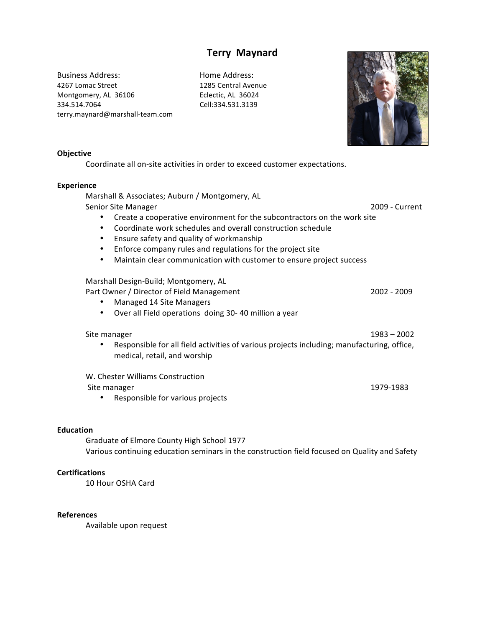# **Terry Maynard**

Business Address: Home Address: 4267 Lomac Street 1285 Central Avenue Montgomery, AL 36106 Eclectic, AL 36024 334.514.7064 Cell:334.531.3139 terry.maynard@marshall-team.com



#### **Objective**

Coordinate all on-site activities in order to exceed customer expectations.

#### **Experience**

Marshall & Associates; Auburn / Montgomery, AL Senior Site Manager 2009 - Current 2009 - Current

- Create a cooperative environment for the subcontractors on the work site
- Coordinate work schedules and overall construction schedule
- Ensure safety and quality of workmanship
- Enforce company rules and regulations for the project site
- Maintain clear communication with customer to ensure project success

## Marshall Design-Build; Montgomery, AL

Part Owner / Director of Field Management 2002 - 2009

- Managed 14 Site Managers
- Over all Field operations doing 30-40 million a year

#### Site manager 1983 – 2002

• Responsible for all field activities of various projects including; manufacturing, office, medical, retail, and worship

W. Chester Williams Construction !Site!manager! 1979I1983!!!

• Responsible for various projects

## **Education**

Graduate of Elmore County High School 1977 Various continuing education seminars in the construction field focused on Quality and Safety

## **Certifications**

10 Hour OSHA Card

#### **References**

Available upon request